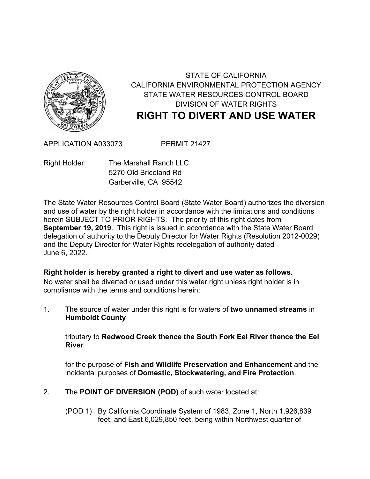

## STATE OF CALIFORNIA CALIFORNIA ENVIRONMENTAL PROTECTION AGENCY STATE WATER RESOURCES CONTROL BOARD DIVISION OF WATER RIGHTS **RIGHT TO DIVERT AND USE WATER**

APPLICATION A033073 PERMIT 21427

Right Holder: The Marshall Ranch LLC 5270 Old Briceland Rd Garberville, CA 95542

The State Water Resources Control Board (State Water Board) authorizes the diversion and use of water by the right holder in accordance with the limitations and conditions herein SUBJECT TO PRIOR RIGHTS. The priority of this right dates from **September 19, 2019**. This right is issued in accordance with the State Water Board delegation of authority to the Deputy Director for Water Rights (Resolution 2012-0029) and the Deputy Director for Water Rights redelegation of authority dated June 6, 2022.

## **Right holder is hereby granted a right to divert and use water as follows.**

No water shall be diverted or used under this water right unless right holder is in compliance with the terms and conditions herein:

1. The source of water under this right is for waters of **two unnamed streams** in **Humboldt County**

tributary to **Redwood Creek thence the South Fork Eel River thence the Eel River**

for the purpose of **Fish and Wildlife Preservation and Enhancement** and the incidental purposes of **Domestic, Stockwatering, and Fire Protection**.

- 2. The **POINT OF DIVERSION (POD)** of such water located at:
	- (POD 1) By California Coordinate System of 1983, Zone 1, North 1,926,839 feet, and East 6,029,850 feet, being within Northwest quarter of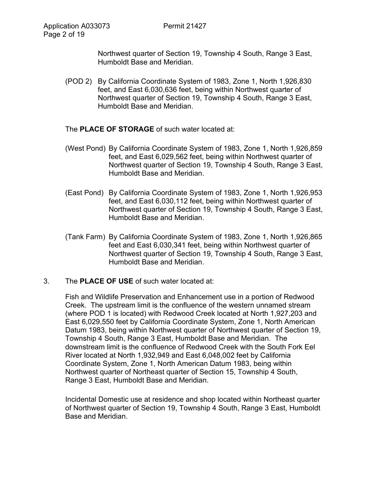Northwest quarter of Section 19, Township 4 South, Range 3 East, Humboldt Base and Meridian.

- (POD 2) By California Coordinate System of 1983, Zone 1, North 1,926,830 feet, and East 6,030,636 feet, being within Northwest quarter of Northwest quarter of Section 19, Township 4 South, Range 3 East, Humboldt Base and Meridian.
- The **PLACE OF STORAGE** of such water located at:
- (West Pond) By California Coordinate System of 1983, Zone 1, North 1,926,859 feet, and East 6,029,562 feet, being within Northwest quarter of Northwest quarter of Section 19, Township 4 South, Range 3 East, Humboldt Base and Meridian.
- (East Pond) By California Coordinate System of 1983, Zone 1, North 1,926,953 feet, and East 6,030,112 feet, being within Northwest quarter of Northwest quarter of Section 19, Township 4 South, Range 3 East, Humboldt Base and Meridian.
- (Tank Farm) By California Coordinate System of 1983, Zone 1, North 1,926,865 feet and East 6,030,341 feet, being within Northwest quarter of Northwest quarter of Section 19, Township 4 South, Range 3 East, Humboldt Base and Meridian.

## 3. The **PLACE OF USE** of such water located at:

Fish and Wildlife Preservation and Enhancement use in a portion of Redwood Creek. The upstream limit is the confluence of the western unnamed stream (where POD 1 is located) with Redwood Creek located at North 1,927,203 and East 6,029,550 feet by California Coordinate System, Zone 1, North American Datum 1983, being within Northwest quarter of Northwest quarter of Section 19, Township 4 South, Range 3 East, Humboldt Base and Meridian. The downstream limit is the confluence of Redwood Creek with the South Fork Eel River located at North 1,932,949 and East 6,048,002 feet by California Coordinate System, Zone 1, North American Datum 1983, being within Northwest quarter of Northeast quarter of Section 15, Township 4 South, Range 3 East, Humboldt Base and Meridian.

Incidental Domestic use at residence and shop located within Northeast quarter of Northwest quarter of Section 19, Township 4 South, Range 3 East, Humboldt Base and Meridian.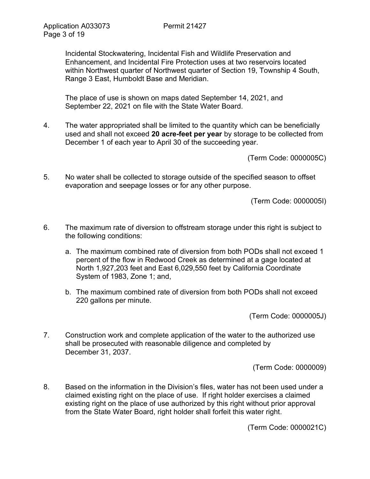Incidental Stockwatering, Incidental Fish and Wildlife Preservation and Enhancement, and Incidental Fire Protection uses at two reservoirs located within Northwest quarter of Northwest quarter of Section 19, Township 4 South, Range 3 East, Humboldt Base and Meridian.

The place of use is shown on maps dated September 14, 2021, and September 22, 2021 on file with the State Water Board.

4. The water appropriated shall be limited to the quantity which can be beneficially used and shall not exceed **20 acre-feet per year** by storage to be collected from December 1 of each year to April 30 of the succeeding year.

(Term Code: 0000005C)

5. No water shall be collected to storage outside of the specified season to offset evaporation and seepage losses or for any other purpose.

(Term Code: 0000005I)

- 6. The maximum rate of diversion to offstream storage under this right is subject to the following conditions:
	- a. The maximum combined rate of diversion from both PODs shall not exceed 1 percent of the flow in Redwood Creek as determined at a gage located at North 1,927,203 feet and East 6,029,550 feet by California Coordinate System of 1983, Zone 1; and,
	- b. The maximum combined rate of diversion from both PODs shall not exceed 220 gallons per minute.

(Term Code: 0000005J)

7. Construction work and complete application of the water to the authorized use shall be prosecuted with reasonable diligence and completed by December 31, 2037.

(Term Code: 0000009)

8. Based on the information in the Division's files, water has not been used under a claimed existing right on the place of use. If right holder exercises a claimed existing right on the place of use authorized by this right without prior approval from the State Water Board, right holder shall forfeit this water right.

(Term Code: 0000021C)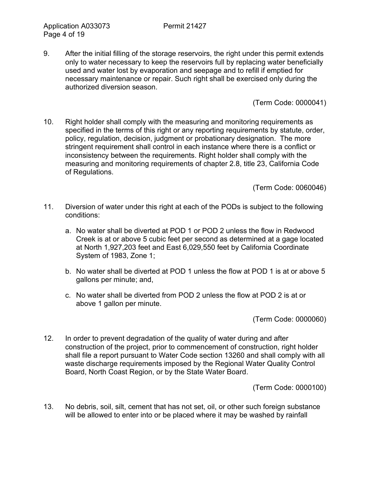9. After the initial filling of the storage reservoirs, the right under this permit extends only to water necessary to keep the reservoirs full by replacing water beneficially used and water lost by evaporation and seepage and to refill if emptied for necessary maintenance or repair. Such right shall be exercised only during the authorized diversion season.

(Term Code: 0000041)

10. Right holder shall comply with the measuring and monitoring requirements as specified in the terms of this right or any reporting requirements by statute, order, policy, regulation, decision, judgment or probationary designation. The more stringent requirement shall control in each instance where there is a conflict or inconsistency between the requirements. Right holder shall comply with the measuring and monitoring requirements of chapter 2.8, title 23, California Code of Regulations.

(Term Code: 0060046)

- 11. Diversion of water under this right at each of the PODs is subject to the following conditions:
	- a. No water shall be diverted at POD 1 or POD 2 unless the flow in Redwood Creek is at or above 5 cubic feet per second as determined at a gage located at North 1,927,203 feet and East 6,029,550 feet by California Coordinate System of 1983, Zone 1;
	- b. No water shall be diverted at POD 1 unless the flow at POD 1 is at or above 5 gallons per minute; and,
	- c. No water shall be diverted from POD 2 unless the flow at POD 2 is at or above 1 gallon per minute.

(Term Code: 0000060)

12. In order to prevent degradation of the quality of water during and after construction of the project, prior to commencement of construction, right holder shall file a report pursuant to Water Code section 13260 and shall comply with all waste discharge requirements imposed by the Regional Water Quality Control Board, North Coast Region, or by the State Water Board.

(Term Code: 0000100)

13. No debris, soil, silt, cement that has not set, oil, or other such foreign substance will be allowed to enter into or be placed where it may be washed by rainfall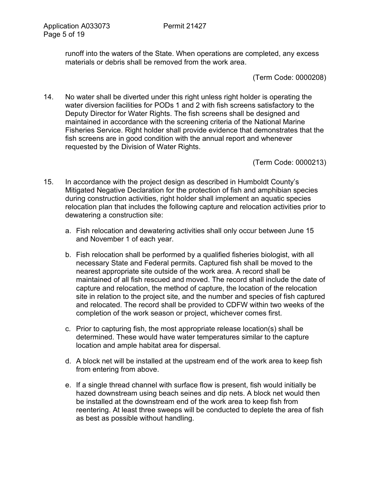runoff into the waters of the State. When operations are completed, any excess materials or debris shall be removed from the work area.

(Term Code: 0000208)

14. No water shall be diverted under this right unless right holder is operating the water diversion facilities for PODs 1 and 2 with fish screens satisfactory to the Deputy Director for Water Rights. The fish screens shall be designed and maintained in accordance with the screening criteria of the National Marine Fisheries Service. Right holder shall provide evidence that demonstrates that the fish screens are in good condition with the annual report and whenever requested by the Division of Water Rights.

(Term Code: 0000213)

- 15. In accordance with the project design as described in Humboldt County's Mitigated Negative Declaration for the protection of fish and amphibian species during construction activities, right holder shall implement an aquatic species relocation plan that includes the following capture and relocation activities prior to dewatering a construction site:
	- a. Fish relocation and dewatering activities shall only occur between June 15 and November 1 of each year.
	- b. Fish relocation shall be performed by a qualified fisheries biologist, with all necessary State and Federal permits. Captured fish shall be moved to the nearest appropriate site outside of the work area. A record shall be maintained of all fish rescued and moved. The record shall include the date of capture and relocation, the method of capture, the location of the relocation site in relation to the project site, and the number and species of fish captured and relocated. The record shall be provided to CDFW within two weeks of the completion of the work season or project, whichever comes first.
	- c. Prior to capturing fish, the most appropriate release location(s) shall be determined. These would have water temperatures similar to the capture location and ample habitat area for dispersal.
	- d. A block net will be installed at the upstream end of the work area to keep fish from entering from above.
	- e. If a single thread channel with surface flow is present, fish would initially be hazed downstream using beach seines and dip nets. A block net would then be installed at the downstream end of the work area to keep fish from reentering. At least three sweeps will be conducted to deplete the area of fish as best as possible without handling.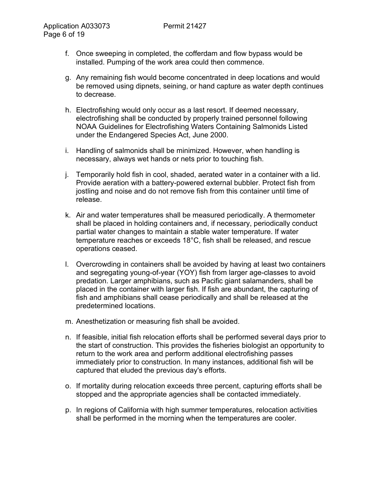- f. Once sweeping in completed, the cofferdam and flow bypass would be installed. Pumping of the work area could then commence.
- g. Any remaining fish would become concentrated in deep locations and would be removed using dipnets, seining, or hand capture as water depth continues to decrease.
- h. Electrofishing would only occur as a last resort. If deemed necessary, electrofishing shall be conducted by properly trained personnel following NOAA Guidelines for Electrofishing Waters Containing Salmonids Listed under the Endangered Species Act, June 2000.
- i. Handling of salmonids shall be minimized. However, when handling is necessary, always wet hands or nets prior to touching fish.
- j. Temporarily hold fish in cool, shaded, aerated water in a container with a lid. Provide aeration with a battery-powered external bubbler. Protect fish from jostling and noise and do not remove fish from this container until time of release.
- k. Air and water temperatures shall be measured periodically. A thermometer shall be placed in holding containers and, if necessary, periodically conduct partial water changes to maintain a stable water temperature. If water temperature reaches or exceeds 18°C, fish shall be released, and rescue operations ceased.
- l. Overcrowding in containers shall be avoided by having at least two containers and segregating young-of-year (YOY) fish from larger age-classes to avoid predation. Larger amphibians, such as Pacific giant salamanders, shall be placed in the container with larger fish. If fish are abundant, the capturing of fish and amphibians shall cease periodically and shall be released at the predetermined locations.
- m. Anesthetization or measuring fish shall be avoided.
- n. If feasible, initial fish relocation efforts shall be performed several days prior to the start of construction. This provides the fisheries biologist an opportunity to return to the work area and perform additional electrofishing passes immediately prior to construction. In many instances, additional fish will be captured that eluded the previous day's efforts.
- o. If mortality during relocation exceeds three percent, capturing efforts shall be stopped and the appropriate agencies shall be contacted immediately.
- p. In regions of California with high summer temperatures, relocation activities shall be performed in the morning when the temperatures are cooler.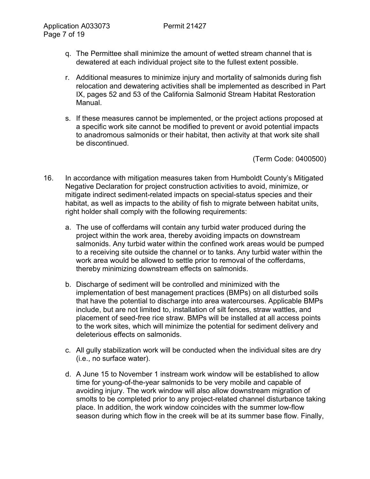- q. The Permittee shall minimize the amount of wetted stream channel that is dewatered at each individual project site to the fullest extent possible.
- r. Additional measures to minimize injury and mortality of salmonids during fish relocation and dewatering activities shall be implemented as described in Part IX, pages 52 and 53 of the California Salmonid Stream Habitat Restoration Manual.
- s. If these measures cannot be implemented, or the project actions proposed at a specific work site cannot be modified to prevent or avoid potential impacts to anadromous salmonids or their habitat, then activity at that work site shall be discontinued.

- 16. In accordance with mitigation measures taken from Humboldt County's Mitigated Negative Declaration for project construction activities to avoid, minimize, or mitigate indirect sediment-related impacts on special-status species and their habitat, as well as impacts to the ability of fish to migrate between habitat units, right holder shall comply with the following requirements:
	- a. The use of cofferdams will contain any turbid water produced during the project within the work area, thereby avoiding impacts on downstream salmonids. Any turbid water within the confined work areas would be pumped to a receiving site outside the channel or to tanks. Any turbid water within the work area would be allowed to settle prior to removal of the cofferdams, thereby minimizing downstream effects on salmonids.
	- b. Discharge of sediment will be controlled and minimized with the implementation of best management practices (BMPs) on all disturbed soils that have the potential to discharge into area watercourses. Applicable BMPs include, but are not limited to, installation of silt fences, straw wattles, and placement of seed-free rice straw. BMPs will be installed at all access points to the work sites, which will minimize the potential for sediment delivery and deleterious effects on salmonids.
	- c. All gully stabilization work will be conducted when the individual sites are dry (i.e., no surface water).
	- d. A June 15 to November 1 instream work window will be established to allow time for young-of-the-year salmonids to be very mobile and capable of avoiding injury. The work window will also allow downstream migration of smolts to be completed prior to any project-related channel disturbance taking place. In addition, the work window coincides with the summer low-flow season during which flow in the creek will be at its summer base flow. Finally,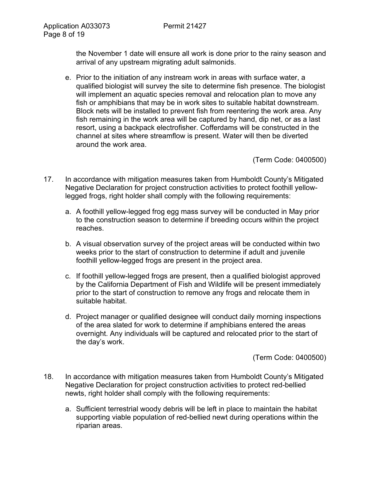the November 1 date will ensure all work is done prior to the rainy season and arrival of any upstream migrating adult salmonids.

e. Prior to the initiation of any instream work in areas with surface water, a qualified biologist will survey the site to determine fish presence. The biologist will implement an aquatic species removal and relocation plan to move any fish or amphibians that may be in work sites to suitable habitat downstream. Block nets will be installed to prevent fish from reentering the work area. Any fish remaining in the work area will be captured by hand, dip net, or as a last resort, using a backpack electrofisher. Cofferdams will be constructed in the channel at sites where streamflow is present. Water will then be diverted around the work area.

(Term Code: 0400500)

- 17. In accordance with mitigation measures taken from Humboldt County's Mitigated Negative Declaration for project construction activities to protect foothill yellowlegged frogs, right holder shall comply with the following requirements:
	- a. A foothill yellow-legged frog egg mass survey will be conducted in May prior to the construction season to determine if breeding occurs within the project reaches.
	- b. A visual observation survey of the project areas will be conducted within two weeks prior to the start of construction to determine if adult and juvenile foothill yellow-legged frogs are present in the project area.
	- c. If foothill yellow-legged frogs are present, then a qualified biologist approved by the California Department of Fish and Wildlife will be present immediately prior to the start of construction to remove any frogs and relocate them in suitable habitat.
	- d. Project manager or qualified designee will conduct daily morning inspections of the area slated for work to determine if amphibians entered the areas overnight. Any individuals will be captured and relocated prior to the start of the day's work.

- 18. In accordance with mitigation measures taken from Humboldt County's Mitigated Negative Declaration for project construction activities to protect red-bellied newts, right holder shall comply with the following requirements:
	- a. Sufficient terrestrial woody debris will be left in place to maintain the habitat supporting viable population of red-bellied newt during operations within the riparian areas.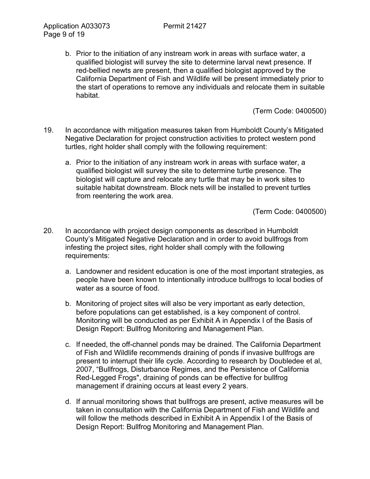b. Prior to the initiation of any instream work in areas with surface water, a qualified biologist will survey the site to determine larval newt presence. If red-bellied newts are present, then a qualified biologist approved by the California Department of Fish and Wildlife will be present immediately prior to the start of operations to remove any individuals and relocate them in suitable habitat.

(Term Code: 0400500)

- 19. In accordance with mitigation measures taken from Humboldt County's Mitigated Negative Declaration for project construction activities to protect western pond turtles, right holder shall comply with the following requirement:
	- a. Prior to the initiation of any instream work in areas with surface water, a qualified biologist will survey the site to determine turtle presence. The biologist will capture and relocate any turtle that may be in work sites to suitable habitat downstream. Block nets will be installed to prevent turtles from reentering the work area.

- 20. In accordance with project design components as described in Humboldt County's Mitigated Negative Declaration and in order to avoid bullfrogs from infesting the project sites, right holder shall comply with the following requirements:
	- a. Landowner and resident education is one of the most important strategies, as people have been known to intentionally introduce bullfrogs to local bodies of water as a source of food.
	- b. Monitoring of project sites will also be very important as early detection, before populations can get established, is a key component of control. Monitoring will be conducted as per Exhibit A in Appendix I of the Basis of Design Report: Bullfrog Monitoring and Management Plan.
	- c. If needed, the off-channel ponds may be drained. The California Department of Fish and Wildlife recommends draining of ponds if invasive bullfrogs are present to interrupt their life cycle. According to research by Doubledee et al, 2007, "Bullfrogs, Disturbance Regimes, and the Persistence of California Red-Legged Frogs", draining of ponds can be effective for bullfrog management if draining occurs at least every 2 years.
	- d. If annual monitoring shows that bullfrogs are present, active measures will be taken in consultation with the California Department of Fish and Wildlife and will follow the methods described in Exhibit A in Appendix I of the Basis of Design Report: Bullfrog Monitoring and Management Plan.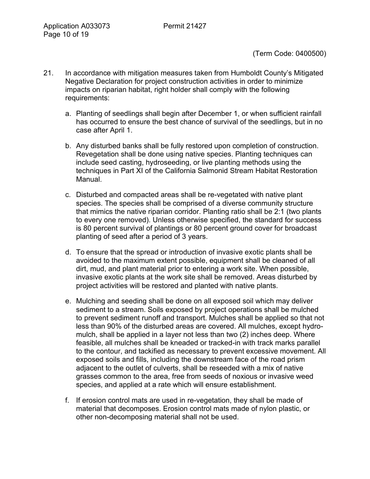- 21. In accordance with mitigation measures taken from Humboldt County's Mitigated Negative Declaration for project construction activities in order to minimize impacts on riparian habitat, right holder shall comply with the following requirements:
	- a. Planting of seedlings shall begin after December 1, or when sufficient rainfall has occurred to ensure the best chance of survival of the seedlings, but in no case after April 1.
	- b. Any disturbed banks shall be fully restored upon completion of construction. Revegetation shall be done using native species. Planting techniques can include seed casting, hydroseeding, or live planting methods using the techniques in Part XI of the California Salmonid Stream Habitat Restoration Manual.
	- c. Disturbed and compacted areas shall be re-vegetated with native plant species. The species shall be comprised of a diverse community structure that mimics the native riparian corridor. Planting ratio shall be 2:1 (two plants to every one removed). Unless otherwise specified, the standard for success is 80 percent survival of plantings or 80 percent ground cover for broadcast planting of seed after a period of 3 years.
	- d. To ensure that the spread or introduction of invasive exotic plants shall be avoided to the maximum extent possible, equipment shall be cleaned of all dirt, mud, and plant material prior to entering a work site. When possible, invasive exotic plants at the work site shall be removed. Areas disturbed by project activities will be restored and planted with native plants.
	- e. Mulching and seeding shall be done on all exposed soil which may deliver sediment to a stream. Soils exposed by project operations shall be mulched to prevent sediment runoff and transport. Mulches shall be applied so that not less than 90% of the disturbed areas are covered. All mulches, except hydromulch, shall be applied in a layer not less than two (2) inches deep. Where feasible, all mulches shall be kneaded or tracked-in with track marks parallel to the contour, and tackified as necessary to prevent excessive movement. All exposed soils and fills, including the downstream face of the road prism adjacent to the outlet of culverts, shall be reseeded with a mix of native grasses common to the area, free from seeds of noxious or invasive weed species, and applied at a rate which will ensure establishment.
	- f. If erosion control mats are used in re-vegetation, they shall be made of material that decomposes. Erosion control mats made of nylon plastic, or other non-decomposing material shall not be used.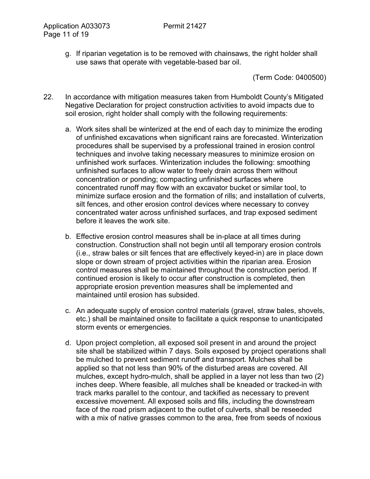g. If riparian vegetation is to be removed with chainsaws, the right holder shall use saws that operate with vegetable-based bar oil.

- 22. In accordance with mitigation measures taken from Humboldt County's Mitigated Negative Declaration for project construction activities to avoid impacts due to soil erosion, right holder shall comply with the following requirements:
	- a. Work sites shall be winterized at the end of each day to minimize the eroding of unfinished excavations when significant rains are forecasted. Winterization procedures shall be supervised by a professional trained in erosion control techniques and involve taking necessary measures to minimize erosion on unfinished work surfaces. Winterization includes the following: smoothing unfinished surfaces to allow water to freely drain across them without concentration or ponding; compacting unfinished surfaces where concentrated runoff may flow with an excavator bucket or similar tool, to minimize surface erosion and the formation of rills; and installation of culverts, silt fences, and other erosion control devices where necessary to convey concentrated water across unfinished surfaces, and trap exposed sediment before it leaves the work site.
	- b. Effective erosion control measures shall be in-place at all times during construction. Construction shall not begin until all temporary erosion controls (i.e., straw bales or silt fences that are effectively keyed-in) are in place down slope or down stream of project activities within the riparian area. Erosion control measures shall be maintained throughout the construction period. If continued erosion is likely to occur after construction is completed, then appropriate erosion prevention measures shall be implemented and maintained until erosion has subsided.
	- c. An adequate supply of erosion control materials (gravel, straw bales, shovels, etc.) shall be maintained onsite to facilitate a quick response to unanticipated storm events or emergencies.
	- d. Upon project completion, all exposed soil present in and around the project site shall be stabilized within 7 days. Soils exposed by project operations shall be mulched to prevent sediment runoff and transport. Mulches shall be applied so that not less than 90% of the disturbed areas are covered. All mulches, except hydro-mulch, shall be applied in a layer not less than two (2) inches deep. Where feasible, all mulches shall be kneaded or tracked-in with track marks parallel to the contour, and tackified as necessary to prevent excessive movement. All exposed soils and fills, including the downstream face of the road prism adjacent to the outlet of culverts, shall be reseeded with a mix of native grasses common to the area, free from seeds of noxious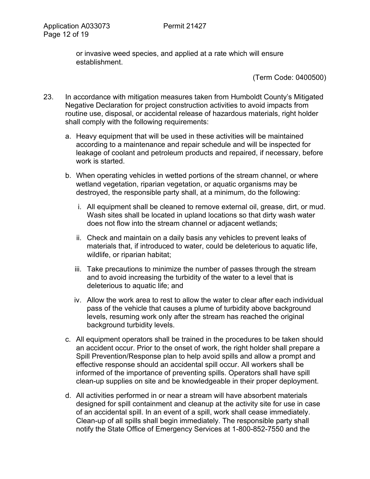or invasive weed species, and applied at a rate which will ensure establishment.

- 23. In accordance with mitigation measures taken from Humboldt County's Mitigated Negative Declaration for project construction activities to avoid impacts from routine use, disposal, or accidental release of hazardous materials, right holder shall comply with the following requirements:
	- a. Heavy equipment that will be used in these activities will be maintained according to a maintenance and repair schedule and will be inspected for leakage of coolant and petroleum products and repaired, if necessary, before work is started.
	- b. When operating vehicles in wetted portions of the stream channel, or where wetland vegetation, riparian vegetation, or aquatic organisms may be destroyed, the responsible party shall, at a minimum, do the following:
		- i. All equipment shall be cleaned to remove external oil, grease, dirt, or mud. Wash sites shall be located in upland locations so that dirty wash water does not flow into the stream channel or adjacent wetlands;
		- ii. Check and maintain on a daily basis any vehicles to prevent leaks of materials that, if introduced to water, could be deleterious to aquatic life, wildlife, or riparian habitat;
		- iii. Take precautions to minimize the number of passes through the stream and to avoid increasing the turbidity of the water to a level that is deleterious to aquatic life; and
		- iv. Allow the work area to rest to allow the water to clear after each individual pass of the vehicle that causes a plume of turbidity above background levels, resuming work only after the stream has reached the original background turbidity levels.
	- c. All equipment operators shall be trained in the procedures to be taken should an accident occur. Prior to the onset of work, the right holder shall prepare a Spill Prevention/Response plan to help avoid spills and allow a prompt and effective response should an accidental spill occur. All workers shall be informed of the importance of preventing spills. Operators shall have spill clean-up supplies on site and be knowledgeable in their proper deployment.
	- d. All activities performed in or near a stream will have absorbent materials designed for spill containment and cleanup at the activity site for use in case of an accidental spill. In an event of a spill, work shall cease immediately. Clean-up of all spills shall begin immediately. The responsible party shall notify the State Office of Emergency Services at 1-800-852-7550 and the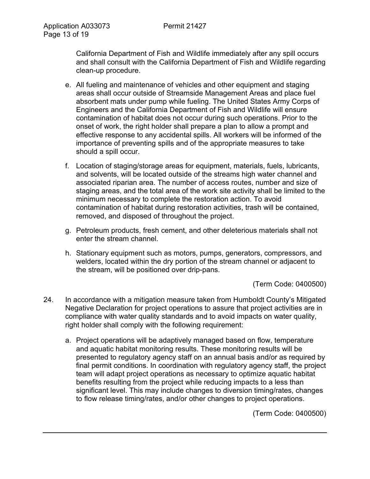California Department of Fish and Wildlife immediately after any spill occurs and shall consult with the California Department of Fish and Wildlife regarding clean-up procedure.

- e. All fueling and maintenance of vehicles and other equipment and staging areas shall occur outside of Streamside Management Areas and place fuel absorbent mats under pump while fueling. The United States Army Corps of Engineers and the California Department of Fish and Wildlife will ensure contamination of habitat does not occur during such operations. Prior to the onset of work, the right holder shall prepare a plan to allow a prompt and effective response to any accidental spills. All workers will be informed of the importance of preventing spills and of the appropriate measures to take should a spill occur.
- f. Location of staging/storage areas for equipment, materials, fuels, lubricants, and solvents, will be located outside of the streams high water channel and associated riparian area. The number of access routes, number and size of staging areas, and the total area of the work site activity shall be limited to the minimum necessary to complete the restoration action. To avoid contamination of habitat during restoration activities, trash will be contained, removed, and disposed of throughout the project.
- g. Petroleum products, fresh cement, and other deleterious materials shall not enter the stream channel.
- h. Stationary equipment such as motors, pumps, generators, compressors, and welders, located within the dry portion of the stream channel or adjacent to the stream, will be positioned over drip-pans.

(Term Code: 0400500)

- 24. In accordance with a mitigation measure taken from Humboldt County's Mitigated Negative Declaration for project operations to assure that project activities are in compliance with water quality standards and to avoid impacts on water quality, right holder shall comply with the following requirement:
	- a. Project operations will be adaptively managed based on flow, temperature and aquatic habitat monitoring results. These monitoring results will be presented to regulatory agency staff on an annual basis and/or as required by final permit conditions. In coordination with regulatory agency staff, the project team will adapt project operations as necessary to optimize aquatic habitat benefits resulting from the project while reducing impacts to a less than significant level. This may include changes to diversion timing/rates, changes to flow release timing/rates, and/or other changes to project operations.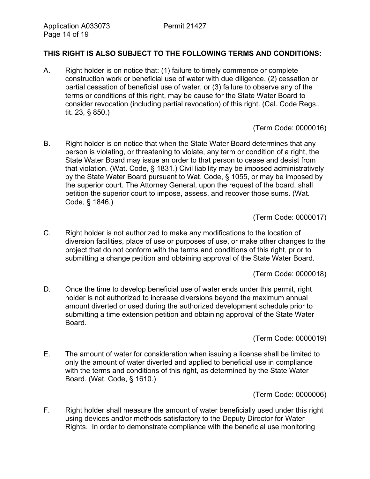## **THIS RIGHT IS ALSO SUBJECT TO THE FOLLOWING TERMS AND CONDITIONS:**

A. Right holder is on notice that: (1) failure to timely commence or complete construction work or beneficial use of water with due diligence, (2) cessation or partial cessation of beneficial use of water, or (3) failure to observe any of the terms or conditions of this right, may be cause for the State Water Board to consider revocation (including partial revocation) of this right. (Cal. Code Regs., tit. 23, § 850.)

(Term Code: 0000016)

B. Right holder is on notice that when the State Water Board determines that any person is violating, or threatening to violate, any term or condition of a right, the State Water Board may issue an order to that person to cease and desist from that violation. (Wat. Code, § 1831.) Civil liability may be imposed administratively by the State Water Board pursuant to Wat. Code, § 1055, or may be imposed by the superior court. The Attorney General, upon the request of the board, shall petition the superior court to impose, assess, and recover those sums. (Wat. Code, § 1846.)

(Term Code: 0000017)

C. Right holder is not authorized to make any modifications to the location of diversion facilities, place of use or purposes of use, or make other changes to the project that do not conform with the terms and conditions of this right, prior to submitting a change petition and obtaining approval of the State Water Board.

(Term Code: 0000018)

D. Once the time to develop beneficial use of water ends under this permit, right holder is not authorized to increase diversions beyond the maximum annual amount diverted or used during the authorized development schedule prior to submitting a time extension petition and obtaining approval of the State Water Board.

(Term Code: 0000019)

E. The amount of water for consideration when issuing a license shall be limited to only the amount of water diverted and applied to beneficial use in compliance with the terms and conditions of this right, as determined by the State Water Board. (Wat. Code, § 1610.)

(Term Code: 0000006)

F. Right holder shall measure the amount of water beneficially used under this right using devices and/or methods satisfactory to the Deputy Director for Water Rights. In order to demonstrate compliance with the beneficial use monitoring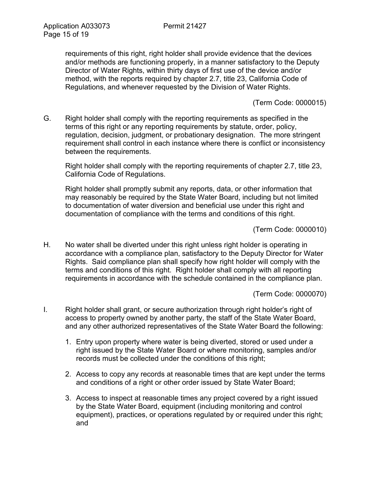requirements of this right, right holder shall provide evidence that the devices and/or methods are functioning properly, in a manner satisfactory to the Deputy Director of Water Rights, within thirty days of first use of the device and/or method, with the reports required by chapter 2.7, title 23, California Code of Regulations, and whenever requested by the Division of Water Rights.

(Term Code: 0000015)

G. Right holder shall comply with the reporting requirements as specified in the terms of this right or any reporting requirements by statute, order, policy, regulation, decision, judgment, or probationary designation. The more stringent requirement shall control in each instance where there is conflict or inconsistency between the requirements.

Right holder shall comply with the reporting requirements of chapter 2.7, title 23, California Code of Regulations.

Right holder shall promptly submit any reports, data, or other information that may reasonably be required by the State Water Board, including but not limited to documentation of water diversion and beneficial use under this right and documentation of compliance with the terms and conditions of this right.

(Term Code: 0000010)

H. No water shall be diverted under this right unless right holder is operating in accordance with a compliance plan, satisfactory to the Deputy Director for Water Rights. Said compliance plan shall specify how right holder will comply with the terms and conditions of this right. Right holder shall comply with all reporting requirements in accordance with the schedule contained in the compliance plan.

(Term Code: 0000070)

- I. Right holder shall grant, or secure authorization through right holder's right of access to property owned by another party, the staff of the State Water Board, and any other authorized representatives of the State Water Board the following:
	- 1. Entry upon property where water is being diverted, stored or used under a right issued by the State Water Board or where monitoring, samples and/or records must be collected under the conditions of this right;
	- 2. Access to copy any records at reasonable times that are kept under the terms and conditions of a right or other order issued by State Water Board;
	- 3. Access to inspect at reasonable times any project covered by a right issued by the State Water Board, equipment (including monitoring and control equipment), practices, or operations regulated by or required under this right; and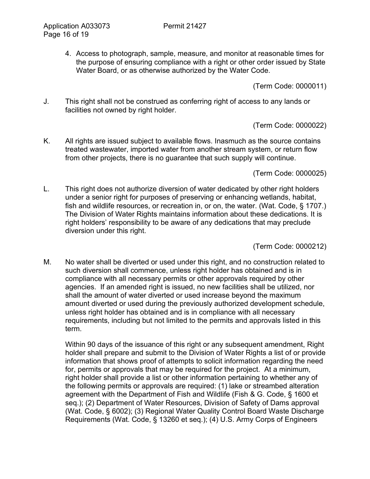4. Access to photograph, sample, measure, and monitor at reasonable times for the purpose of ensuring compliance with a right or other order issued by State Water Board, or as otherwise authorized by the Water Code.

(Term Code: 0000011)

J. This right shall not be construed as conferring right of access to any lands or facilities not owned by right holder.

(Term Code: 0000022)

K. All rights are issued subject to available flows. Inasmuch as the source contains treated wastewater, imported water from another stream system, or return flow from other projects, there is no guarantee that such supply will continue.

(Term Code: 0000025)

L. This right does not authorize diversion of water dedicated by other right holders under a senior right for purposes of preserving or enhancing wetlands, habitat, fish and wildlife resources, or recreation in, or on, the water. (Wat. Code, § 1707.) The Division of Water Rights maintains information about these dedications. It is right holders' responsibility to be aware of any dedications that may preclude diversion under this right.

(Term Code: 0000212)

M. No water shall be diverted or used under this right, and no construction related to such diversion shall commence, unless right holder has obtained and is in compliance with all necessary permits or other approvals required by other agencies. If an amended right is issued, no new facilities shall be utilized, nor shall the amount of water diverted or used increase beyond the maximum amount diverted or used during the previously authorized development schedule, unless right holder has obtained and is in compliance with all necessary requirements, including but not limited to the permits and approvals listed in this term.

Within 90 days of the issuance of this right or any subsequent amendment, Right holder shall prepare and submit to the Division of Water Rights a list of or provide information that shows proof of attempts to solicit information regarding the need for, permits or approvals that may be required for the project. At a minimum, right holder shall provide a list or other information pertaining to whether any of the following permits or approvals are required: (1) lake or streambed alteration agreement with the Department of Fish and Wildlife (Fish & G. Code, § 1600 et seq.); (2) Department of Water Resources, Division of Safety of Dams approval (Wat. Code, § 6002); (3) Regional Water Quality Control Board Waste Discharge Requirements (Wat. Code, § 13260 et seq.); (4) U.S. Army Corps of Engineers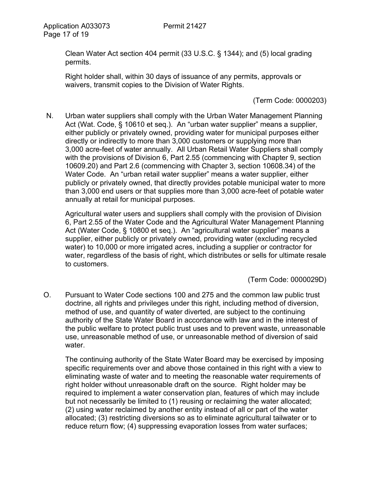Clean Water Act section 404 permit (33 U.S.C. § 1344); and (5) local grading permits.

Right holder shall, within 30 days of issuance of any permits, approvals or waivers, transmit copies to the Division of Water Rights.

(Term Code: 0000203)

N. Urban water suppliers shall comply with the Urban Water Management Planning Act (Wat. Code, § 10610 et seq.). An "urban water supplier" means a supplier, either publicly or privately owned, providing water for municipal purposes either directly or indirectly to more than 3,000 customers or supplying more than 3,000 acre-feet of water annually. All Urban Retail Water Suppliers shall comply with the provisions of Division 6, Part 2.55 (commencing with Chapter 9, section 10609.20) and Part 2.6 (commencing with Chapter 3, section 10608.34) of the Water Code. An "urban retail water supplier" means a water supplier, either publicly or privately owned, that directly provides potable municipal water to more than 3,000 end users or that supplies more than 3,000 acre-feet of potable water annually at retail for municipal purposes.

Agricultural water users and suppliers shall comply with the provision of Division 6, Part 2.55 of the Water Code and the Agricultural Water Management Planning Act (Water Code, § 10800 et seq.). An "agricultural water supplier" means a supplier, either publicly or privately owned, providing water (excluding recycled water) to 10,000 or more irrigated acres, including a supplier or contractor for water, regardless of the basis of right, which distributes or sells for ultimate resale to customers.

(Term Code: 0000029D)

O. Pursuant to Water Code sections 100 and 275 and the common law public trust doctrine, all rights and privileges under this right, including method of diversion, method of use, and quantity of water diverted, are subject to the continuing authority of the State Water Board in accordance with law and in the interest of the public welfare to protect public trust uses and to prevent waste, unreasonable use, unreasonable method of use, or unreasonable method of diversion of said water.

The continuing authority of the State Water Board may be exercised by imposing specific requirements over and above those contained in this right with a view to eliminating waste of water and to meeting the reasonable water requirements of right holder without unreasonable draft on the source. Right holder may be required to implement a water conservation plan, features of which may include but not necessarily be limited to (1) reusing or reclaiming the water allocated; (2) using water reclaimed by another entity instead of all or part of the water allocated; (3) restricting diversions so as to eliminate agricultural tailwater or to reduce return flow; (4) suppressing evaporation losses from water surfaces;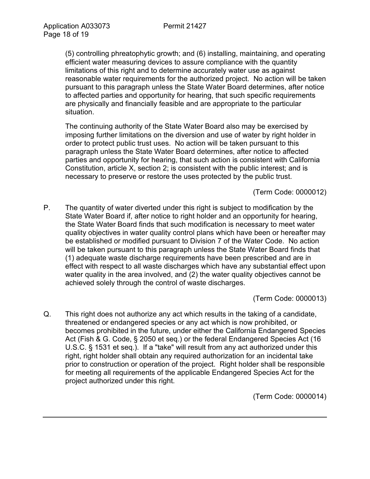(5) controlling phreatophytic growth; and (6) installing, maintaining, and operating efficient water measuring devices to assure compliance with the quantity limitations of this right and to determine accurately water use as against reasonable water requirements for the authorized project. No action will be taken pursuant to this paragraph unless the State Water Board determines, after notice to affected parties and opportunity for hearing, that such specific requirements are physically and financially feasible and are appropriate to the particular situation.

The continuing authority of the State Water Board also may be exercised by imposing further limitations on the diversion and use of water by right holder in order to protect public trust uses. No action will be taken pursuant to this paragraph unless the State Water Board determines, after notice to affected parties and opportunity for hearing, that such action is consistent with California Constitution, article X, section 2; is consistent with the public interest; and is necessary to preserve or restore the uses protected by the public trust.

(Term Code: 0000012)

P. The quantity of water diverted under this right is subject to modification by the State Water Board if, after notice to right holder and an opportunity for hearing, the State Water Board finds that such modification is necessary to meet water quality objectives in water quality control plans which have been or hereafter may be established or modified pursuant to Division 7 of the Water Code. No action will be taken pursuant to this paragraph unless the State Water Board finds that (1) adequate waste discharge requirements have been prescribed and are in effect with respect to all waste discharges which have any substantial effect upon water quality in the area involved, and (2) the water quality objectives cannot be achieved solely through the control of waste discharges.

(Term Code: 0000013)

Q. This right does not authorize any act which results in the taking of a candidate, threatened or endangered species or any act which is now prohibited, or becomes prohibited in the future, under either the California Endangered Species Act (Fish & G. Code, § 2050 et seq.) or the federal Endangered Species Act (16 U.S.C. § 1531 et seq.). If a "take" will result from any act authorized under this right, right holder shall obtain any required authorization for an incidental take prior to construction or operation of the project. Right holder shall be responsible for meeting all requirements of the applicable Endangered Species Act for the project authorized under this right.

(Term Code: 0000014)